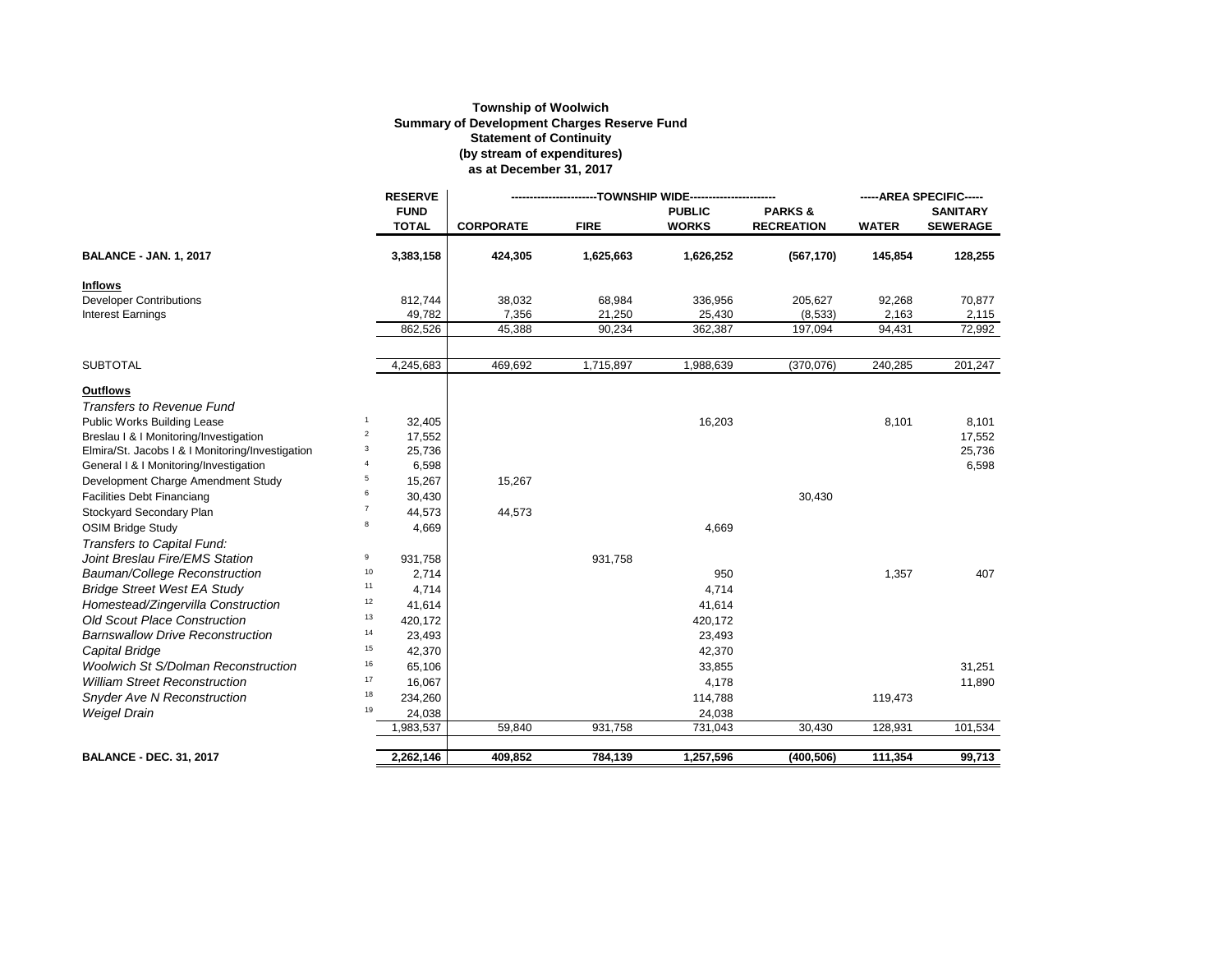## **Township of Woolwich Summary of Development Charges Reserve Fund Statement of Continuity (by stream of expenditures) as at December 31, 2017**

|                                                  |                | <b>RESERVE</b>              | ----TOWNSHIP WIDE--------------- |             |                               |                                        | -----AREA SPECIFIC----- |                                    |
|--------------------------------------------------|----------------|-----------------------------|----------------------------------|-------------|-------------------------------|----------------------------------------|-------------------------|------------------------------------|
|                                                  |                | <b>FUND</b><br><b>TOTAL</b> | <b>CORPORATE</b>                 | <b>FIRE</b> | <b>PUBLIC</b><br><b>WORKS</b> | <b>PARKS&amp;</b><br><b>RECREATION</b> | <b>WATER</b>            | <b>SANITARY</b><br><b>SEWERAGE</b> |
| <b>BALANCE - JAN. 1, 2017</b>                    |                | 3,383,158                   | 424,305                          | 1,625,663   | 1,626,252                     | (567, 170)                             | 145,854                 | 128,255                            |
| <b>Inflows</b>                                   |                |                             |                                  |             |                               |                                        |                         |                                    |
| <b>Developer Contributions</b>                   |                | 812,744                     | 38,032                           | 68,984      | 336,956                       | 205,627                                | 92,268                  | 70,877                             |
| <b>Interest Earnings</b>                         |                | 49,782                      | 7,356                            | 21,250      | 25,430                        | (8,533)                                | 2,163                   | 2,115                              |
|                                                  |                | 862,526                     | 45,388                           | 90,234      | 362,387                       | 197,094                                | 94,431                  | 72,992                             |
| <b>SUBTOTAL</b>                                  |                | 4,245,683                   | 469,692                          | 1,715,897   | 1,988,639                     | (370, 076)                             | 240,285                 | 201,247                            |
| <b>Outflows</b>                                  |                |                             |                                  |             |                               |                                        |                         |                                    |
| <b>Transfers to Revenue Fund</b>                 |                |                             |                                  |             |                               |                                        |                         |                                    |
| <b>Public Works Building Lease</b>               | 1              | 32,405                      |                                  |             | 16,203                        |                                        | 8,101                   | 8,101                              |
| Breslau   &   Monitoring/Investigation           | $\overline{2}$ | 17,552                      |                                  |             |                               |                                        |                         | 17,552                             |
| Elmira/St. Jacobs I & I Monitoring/Investigation | 3              | 25,736                      |                                  |             |                               |                                        |                         | 25,736                             |
| General I & I Monitoring/Investigation           | 4              | 6,598                       |                                  |             |                               |                                        |                         | 6,598                              |
| Development Charge Amendment Study               | 5              | 15,267                      | 15,267                           |             |                               |                                        |                         |                                    |
| <b>Facilities Debt Financiang</b>                | 6              | 30,430                      |                                  |             |                               | 30,430                                 |                         |                                    |
| Stockyard Secondary Plan                         | $\overline{7}$ | 44,573                      | 44,573                           |             |                               |                                        |                         |                                    |
| <b>OSIM Bridge Study</b>                         | 8              | 4,669                       |                                  |             | 4,669                         |                                        |                         |                                    |
| Transfers to Capital Fund:                       |                |                             |                                  |             |                               |                                        |                         |                                    |
| Joint Breslau Fire/EMS Station                   | 9              | 931,758                     |                                  | 931,758     |                               |                                        |                         |                                    |
| Bauman/College Reconstruction                    | 10             | 2,714                       |                                  |             | 950                           |                                        | 1,357                   | 407                                |
| <b>Bridge Street West EA Study</b>               | 11             | 4,714                       |                                  |             | 4,714                         |                                        |                         |                                    |
| Homestead/Zingervilla Construction               | $12\,$         | 41,614                      |                                  |             | 41,614                        |                                        |                         |                                    |
| <b>Old Scout Place Construction</b>              | 13             | 420,172                     |                                  |             | 420,172                       |                                        |                         |                                    |
| <b>Barnswallow Drive Reconstruction</b>          | 14             | 23,493                      |                                  |             | 23,493                        |                                        |                         |                                    |
| Capital Bridge                                   | 15             | 42,370                      |                                  |             | 42,370                        |                                        |                         |                                    |
| <b>Woolwich St S/Dolman Reconstruction</b>       | 16             | 65,106                      |                                  |             | 33,855                        |                                        |                         | 31,251                             |
| <b>William Street Reconstruction</b>             | 17             | 16,067                      |                                  |             | 4,178                         |                                        |                         | 11,890                             |
| <b>Snyder Ave N Reconstruction</b>               | 18             | 234,260                     |                                  |             | 114,788                       |                                        | 119,473                 |                                    |
| Weigel Drain                                     | 19             | 24,038                      |                                  |             | 24,038                        |                                        |                         |                                    |
|                                                  |                | 1,983,537                   | 59,840                           | 931,758     | 731,043                       | 30,430                                 | 128,931                 | 101,534                            |
| <b>BALANCE - DEC. 31, 2017</b>                   |                | 2,262,146                   | 409,852                          | 784,139     | 1,257,596                     | (400, 506)                             | 111,354                 | 99,713                             |